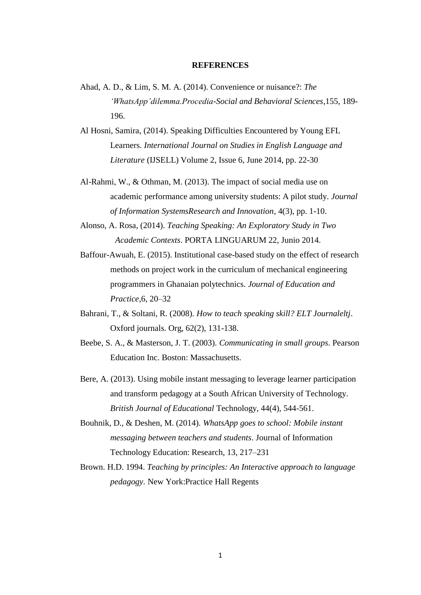## **REFERENCES**

- Ahad, A. D., & Lim, S. M. A. (2014). Convenience or nuisance?: *The 'WhatsApp'dilemma.Procedia-Social and Behavioral Sciences*,155, 189- 196.
- Al Hosni, Samira, (2014). Speaking Difficulties Encountered by Young EFL Learners. *International Journal on Studies in English Language and Literature* (IJSELL) Volume 2, Issue 6, June 2014, pp. 22-30
- Al-Rahmi, W., & Othman, M. (2013). The impact of social media use on academic performance among university students: A pilot study*. Journal of Information SystemsResearch and Innovation*, 4(3), pp. 1-10.
- Alonso, A. Rosa, (2014). *Teaching Speaking: An Exploratory Study in Two Academic Contexts*. PORTA LINGUARUM 22, Junio 2014.
- Baffour-Awuah, E. (2015). Institutional case-based study on the effect of research methods on project work in the curriculum of mechanical engineering programmers in Ghanaian polytechnics. *Journal of Education and Practice*,6, 20–32
- Bahrani, T., & Soltani, R. (2008). *How to teach speaking skill? ELT Journaleltj*. Oxford journals. Org, 62(2), 131-138.
- Beebe, S. A., & Masterson, J. T. (2003). *Communicating in small groups*. Pearson Education Inc. Boston: Massachusetts.
- Bere, A. (2013). Using mobile instant messaging to leverage learner participation and transform pedagogy at a South African University of Technology. *British Journal of Educational* Technology, 44(4), 544-561.
- Bouhnik, D., & Deshen, M. (2014). *WhatsApp goes to school: Mobile instant messaging between teachers and students*. Journal of Information Technology Education: Research, 13, 217–231
- Brown. H.D. 1994. *Teaching by principles: An Interactive approach to language pedagogy.* New York:Practice Hall Regents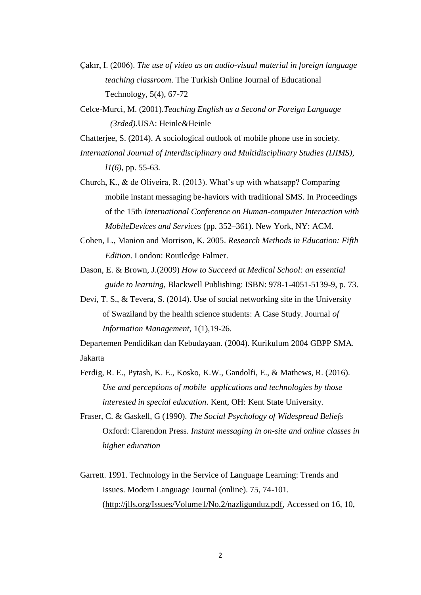- Çakır, I. (2006). *The use of video as an audio-visual material in foreign language teaching classroom*. The Turkish Online Journal of Educational Technology, 5(4), 67-72
- Celce-Murci, M. (2001).*Teaching English as a Second or Foreign Language (3rded).*USA: Heinle&Heinle

Chatterjee, S. (2014). A sociological outlook of mobile phone use in society*.*

*International Journal of Interdisciplinary and Multidisciplinary Studies (IJIMS), l1(6),* pp. 55-63*.*

Church, K., & de Oliveira, R. (2013). What's up with whatsapp? Comparing mobile instant messaging be-haviors with traditional SMS. In Proceedings of the 15th *International Conference on Human-computer Interaction with MobileDevices and Services* (pp. 352–361). New York, NY: ACM.

Cohen, L., Manion and Morrison, K. 2005. *Research Methods in Education: Fifth Edition*. London: Routledge Falmer.

- Dason, E. & Brown, J.(2009) *How to Succeed at Medical School: an essential guide to learning*, Blackwell Publishing: ISBN: 978-1-4051-5139-9, p. 73.
- Devi, T. S., & Tevera, S. (2014). Use of social networking site in the University of Swaziland by the health science students: A Case Study. Journal *of Information Management,* 1(1),19-26.

Departemen Pendidikan dan Kebudayaan. (2004). Kurikulum 2004 GBPP SMA. Jakarta

- Ferdig, R. E., Pytash, K. E., Kosko, K.W., Gandolfi, E., & Mathews, R. (2016). *Use and perceptions of mobile applications and technologies by those interested in special education*. Kent, OH: Kent State University.
- Fraser, C. & Gaskell, G (1990). *The Social Psychology of Widespread Beliefs* Oxford: Clarendon Press. *Instant messaging in on-site and online classes in higher education*
- Garrett. 1991. Technology in the Service of Language Learning: Trends and Issues. Modern Language Journal (online). 75, 74-101. [\(http://jlls.org/Issues/Volume1/No.2/nazligunduz.pdf,](http://jlls.org/Issues/Volume1/No.2/nazligunduz.pdf) Accessed on 16, 10,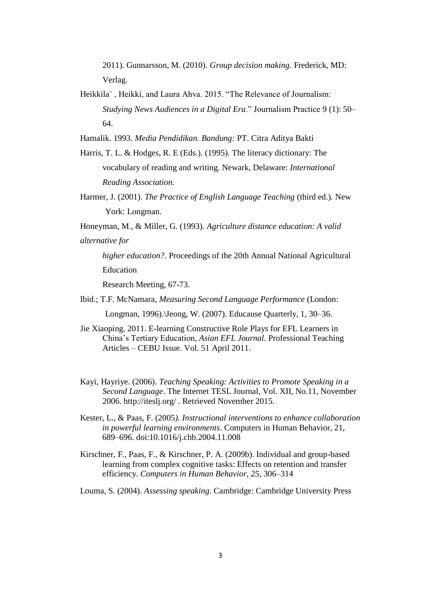2011). Gunnarsson, M. (2010). *Group decision making*. Frederick, MD: Verlag.

- Heikkila¨ , Heikki, and Laura Ahva. 2015. "The Relevance of Journalism: *Studying News Audiences in a Digital Era*." Journalism Practice 9 (1): 50– 64.
- Hamalik. 1993. *Media Pendidikan. Bandung:* PT. Citra Aditya Bakti
- Harris, T. L. & Hodges, R. E (Eds.). (1995). The literacy dictionary: The vocabulary of reading and writing. Newark, Delaware: *International Reading Association.*
- Harmer, J. (2001). *The Practice of English Language Teaching* (third ed.). New York: Longman.
- Honeyman, M., & Miller, G. (1993). *Agriculture distance education: A valid alternative for*
	- *higher education?*. Proceedings of the 20th Annual National Agricultural Education

Research Meeting, 67-73.

- Ibid.; T.F. McNamara, *Measuring Second Language Performance* (London: Longman, 1996).\Jeong, W. (2007). Educause Quarterly, 1, 30–36.
- Jie Xiaoping. 2011. E-learning Constructive Role Plays for EFL Learners in China's Tertiary Education, *Asian EFL Journal.* Professional Teaching Articles – CEBU Issue. Vol. 51 April 2011.
- Kayi, Hayriye. (2006). *Teaching Speaking: Activities to Promote Speaking in a Second Language*. The Internet TESL Journal, Vol. XII, No.11, November 2006. http://iteslj.org/ . Retrieved November 2015.
- Kester, L., & Paas, F. (2005*). Instructional interventions to enhance collaboration in powerful learning environments*. Computers in Human Behavior, 21, 689–696. doi:10.1016/j.chb.2004.11.008
- Kirschner, F., Paas, F., & Kirschner, P. A. (2009b). Individual and group-based learning from complex cognitive tasks: Effects on retention and transfer efficiency. *Computers in Human Behavior, 25*, 306–314
- Louma, S. (2004). *Assessing speaking*. Cambridge: Cambridge University Press